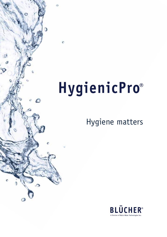# HygienicPro®

### Hygiene matters

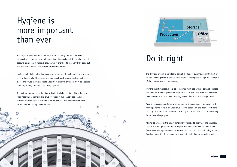### Hygiene is more important than ever

Recent years have seen increased focus on food safety, and in cases where manufacturers have had to recall contaminated products and stop production until bacteria have been eliminated, they have not only had to face very high costs but also the risk of detrimental damage to their reputation.

Hygiene and efficient cleaning processes are essential in maintaining a very high level of food safety. All surfaces and equipment must be easy to clean and keep clean, and refuse as well as waste water from cleaning processes must be disposed of quickly through an efficient drainage system.

The factory flooring poses the biggest hygienic challenge since this is the area with most waste, humidity and physical stress. A hygienically designed and efficient drainage system can form a barrier between the contaminated sewer system and the clean production area.

 $\circ$ 

 $\Delta$ 

The drainage system is an integral part of the factory building, and with most of its components placed in or below the flooring, subsequent changes to the layout of the drainage system can be costly.

Hygiene-sensitive areas should be segregated from less hygiene demanding areas, and the flow of drainage must be away from the clean areas, such as production lines, towards areas with less strict hygiene requirements, e.g. storage rooms.

Among the common mistakes when planning a drainage system are insufficient flow capacity to remove all water thus causing pooling on the floor, insufficient capacity to collect waste from the processing and inadequate access for cleaning inside the drainage system.

Also to be avoided is the use of materials vulnerable to hot water and chemicals used in cleaning processes, and as regards the connection between drains and floors installation procedures must ensure that cracks will not be forming in the flooring around the drains since these can potentially harbor bacterial growth.

# Do it right

 $\Delta$ 

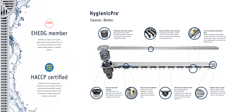BLÜCHER is a member of the European Hygienic Engineering and Design Group and has actively contributed to the recently adopted EHEDG guidelines for drainage products.



BLÜCHER is the first drainage system manufacturer to hold a HACCP certification confirming that the BLÜCHER® products support the integrity and safety of foods as demanded by industry expectations, legislation and standards.

# HygienicPro®





### EHEDG member

### HACCP certified

Cleaner. Better.



**Production down-time reduced** High-capacity filter basket eliminates production slowdowns caused by the need to empty clogged filter baskets



### **Easy and efficient floor cleaning** Grating with open sides, rounded corners and no cavities prevents waste and residues from depositing on the grating surface





### **Secure and durable bonding to floor**

Improving hygiene and durability owing to edge infill of the frame and special anchor tangs, minimizing the risk of deformation to the frame and flooring cracks

**Fast and easy drain cleaning** Removable water trap,

separable for easy cleaning, with improved water flow as compared to other traps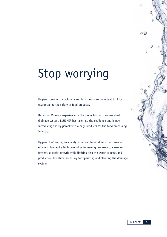# Stop worrying

Hygienic design of machinery and facilities is an important tool for guaranteeing the safety of food products.

Based on 50 years' experience in the production of stainless steel drainage system, BLÜCHER has taken up the challenge and is now introducing the HygienicPro® drainage products for the food processing industry.

HygienicPro® are high-capacity point and linear drains that provide efficient flow and a high level of self-cleaning, are easy to clean and prevent bacterial growth while limiting also the water volumes and production downtime necessary for operating and cleaning the drainage system.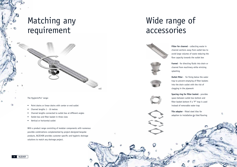**Filter for channel** - collecting waste in channel sections away from outlet box to avoid large volumes of waste reducing the flow capacity towards the outlet box

**Outlet filter** - for fixing below the water trap to prevent emptying of filter baskets into the drain outlet with the risk of clogging in the pipework

**Funnel** - for directing fluids into drain or channel from machinery while minizing









splashing

**Spacing ring for filter basket** - provides space between outlet box bottom and filter basket bottom if a "P" trap is used instead of removable water trap

**BLÜCHER**\* **6**

 $\circ$ 

**Tile adapter** - fitted steel tiles for adaption to installation in tiled flooring

 $\circ$ 

# Wide range of accessories





### Matching any requirement

The HygienicPro® range:

- Point drains or linear drains with center or end outlet
- Channel lengths 1 10 metres
- Channel lengths connected to outlet box at different angles
- Outlet box and filter basket in three sizes
- Vertical or horizontal outlet

With a product range consisting of modular components with numerous possible combinations complemented by project-designed bespoke products, BLÜCHER provides customer specific and hygienic drainage solutions to match any drainage project.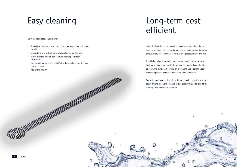All in stainless steel, HygienicPro®

- is designed without corners or cavities that might harbor bacterial growth
- is resistant to a wide range of chemicals used in cleaning
- is not affected by high-temperature cleaning and steam disinfection
- has smooth surfaces that aid efficient flow and are easy to clean and keep clean
- $\bullet$  has a long life-time

Hygienically designed equipment is easier to clean and requires less frequent cleaning. This means lower costs for cleaning agents, water consumption, production stops for cleaning procedures and the like.



In addition, significant reductions in water use in connection with food processing is an industry target and has indeed been effective at delivering major cost savings on processing and cleaning water reducing operating costs and benefiting the environment.

And with a drainage system all in stainless steel - including also the below-ground pipework - the drains and pipes will last as long as the building itself remains in operation.

### Long-term cost efficient

# Easy cleaning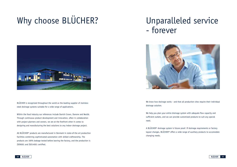# Why choose BLÜCHER?

BLÜCHER is recognized throughout the world as the leading supplier of stainless steel drainage systems suitable for a wide range of applications.

Within the food industry our references include Danish Crown, Danone and Nestlé. Through continuous product development and innovation, often in collaboration with project planners and owners, we are at the forefront when it comes to designing and manufacturing the best solutions to any indoor drainage project.

All BLÜCHER® products are manufactured in Denmark in state-of-the art production facilities combining sophisticated automation with skilled craftmanship. The products are 100% leakage tested before leaving the factory, and the production is ISO9001 and ISO14001 certified.



## Unparalleled service - forever



We know how drainage works - and that all production sites require their individual

drainage solution.

We help you plan your entire drainage system with adequate flow capacity and sufficient outlets, and we can provide customized products to suit any special need.

A BLÜCHER® drainage system is future proof. If drainage requirements or factory layout changes, BLÜCHER® offers a wide range of auxiliary products to accomodate changing needs.